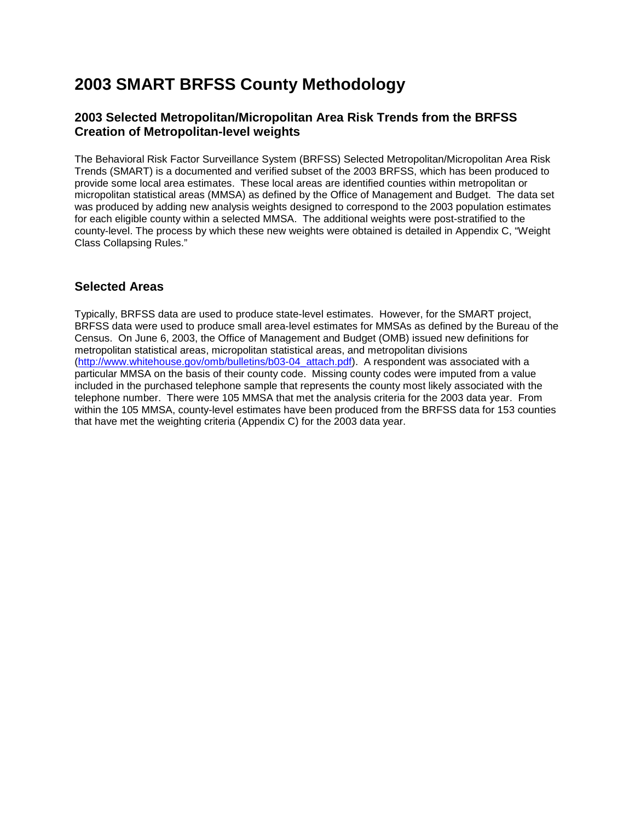# **2003 SMART BRFSS County Methodology**

### **2003 Selected Metropolitan/Micropolitan Area Risk Trends from the BRFSS Creation of Metropolitan-level weights**

The Behavioral Risk Factor Surveillance System (BRFSS) Selected Metropolitan/Micropolitan Area Risk Trends (SMART) is a documented and verified subset of the 2003 BRFSS, which has been produced to provide some local area estimates. These local areas are identified counties within metropolitan or micropolitan statistical areas (MMSA) as defined by the Office of Management and Budget. The data set was produced by adding new analysis weights designed to correspond to the 2003 population estimates for each eligible county within a selected MMSA. The additional weights were post-stratified to the county-level. The process by which these new weights were obtained is detailed in Appendix C, "Weight Class Collapsing Rules."

### **Selected Areas**

Typically, BRFSS data are used to produce state-level estimates. However, for the SMART project, BRFSS data were used to produce small area-level estimates for MMSAs as defined by the Bureau of the Census. On June 6, 2003, the Office of Management and Budget (OMB) issued new definitions for metropolitan statistical areas, micropolitan statistical areas, and metropolitan divisions [\(http://www.whitehouse.gov/omb/bulletins/b03-04\\_attach.pdf\)](http://www.whitehouse.gov/omb/bulletins/b03-04_attach.pdf). A respondent was associated with a particular MMSA on the basis of their county code. Missing county codes were imputed from a value included in the purchased telephone sample that represents the county most likely associated with the telephone number. There were 105 MMSA that met the analysis criteria for the 2003 data year. From within the 105 MMSA, county-level estimates have been produced from the BRFSS data for 153 counties that have met the weighting criteria (Appendix C) for the 2003 data year.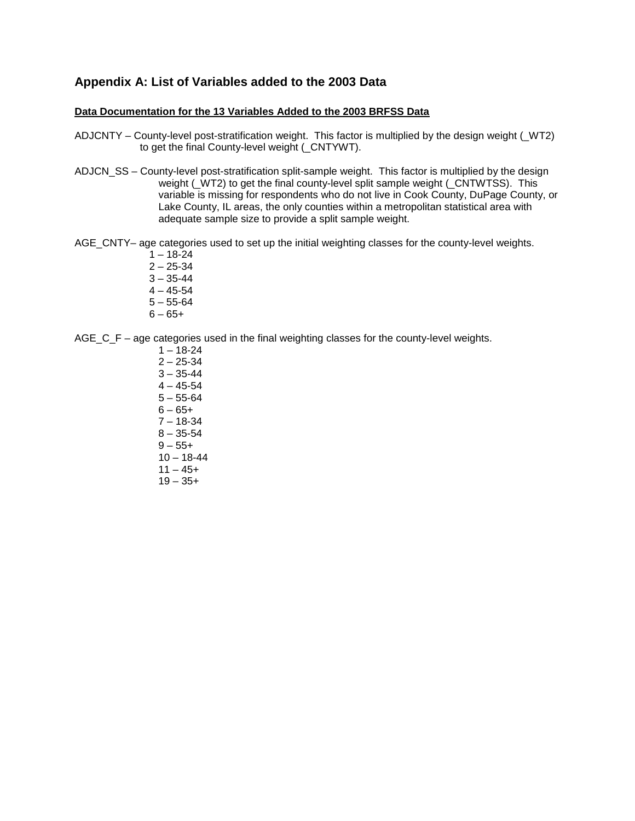### **Appendix A: List of Variables added to the 2003 Data**

#### **Data Documentation for the 13 Variables Added to the 2003 BRFSS Data**

- ADJCNTY County-level post-stratification weight. This factor is multiplied by the design weight (\_WT2) to get the final County-level weight (\_CNTYWT).
- ADJCN\_SS County-level post-stratification split-sample weight. This factor is multiplied by the design weight ( $WT2$ ) to get the final county-level split sample weight ( $CNTWTSS$ ). This variable is missing for respondents who do not live in Cook County, DuPage County, or Lake County, IL areas, the only counties within a metropolitan statistical area with adequate sample size to provide a split sample weight.
- AGE CNTY– age categories used to set up the initial weighting classes for the county-level weights.
	- $1 18 24$
	- $2 25 34$
	- $3 35 44$
	- $4 45 54$
	- $5 55 64$
	- $6 65 +$
- AGE\_C\_F age categories used in the final weighting classes for the county-level weights.
	- $1 18 24$  $2 - 25 - 34$  $3 - 35 - 44$  $4 - 45 - 54$  $5 - 55 - 64$  $6 - 65 +$ 7 – 18-34  $8 - 35 - 54$  $9 - 55 +$  $10 - 18 - 44$  $11 - 45+$  $19 - 35+$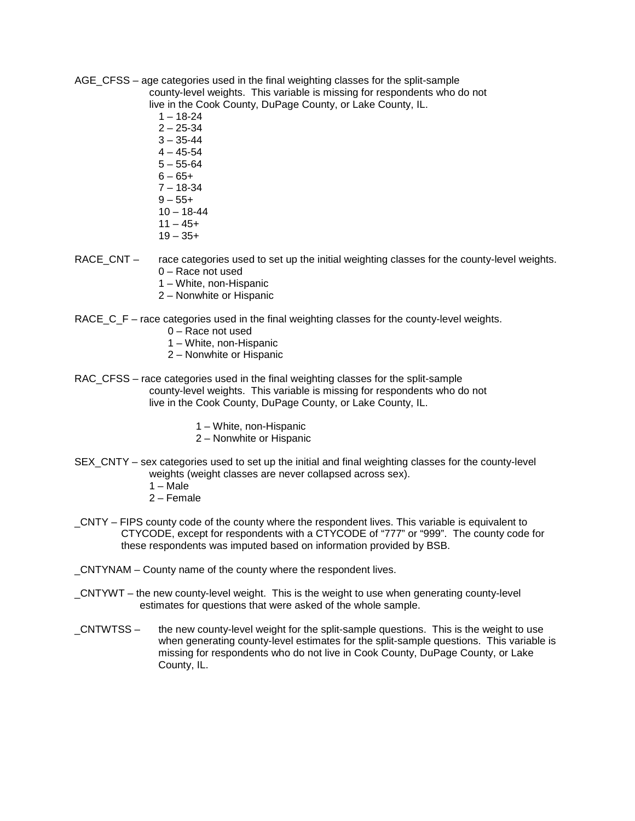- AGE\_CFSS age categories used in the final weighting classes for the split-sample county-level weights. This variable is missing for respondents who do not live in the Cook County, DuPage County, or Lake County, IL.
	- $1 18 24$
	- $2 25 34$
	- $3 35 44$
	- $4 45 54$
	- $5 55 64$
	- $6 65 +$
	- $7 18 34$
	- $9 55 +$
	- $10 18 44$  $11 - 45+$
	- $19 35+$
- RACE\_CNT race categories used to set up the initial weighting classes for the county-level weights. 0 – Race not used
	- 1 White, non-Hispanic
	- 2 Nonwhite or Hispanic
- RACE\_C\_F race categories used in the final weighting classes for the county-level weights.
	- 0 Race not used
	- 1 White, non-Hispanic
	- 2 Nonwhite or Hispanic
- RAC CFSS race categories used in the final weighting classes for the split-sample county-level weights. This variable is missing for respondents who do not live in the Cook County, DuPage County, or Lake County, IL.
	- 1 White, non-Hispanic
	- 2 Nonwhite or Hispanic
- SEX CNTY sex categories used to set up the initial and final weighting classes for the county-level weights (weight classes are never collapsed across sex).
	- $1 Male$
	- 2 Female
- \_CNTY FIPS county code of the county where the respondent lives. This variable is equivalent to CTYCODE, except for respondents with a CTYCODE of "777" or "999". The county code for these respondents was imputed based on information provided by BSB.
- \_CNTYNAM County name of the county where the respondent lives.
- \_CNTYWT the new county-level weight. This is the weight to use when generating county-level estimates for questions that were asked of the whole sample.
- \_CNTWTSS the new county-level weight for the split-sample questions. This is the weight to use when generating county-level estimates for the split-sample questions. This variable is missing for respondents who do not live in Cook County, DuPage County, or Lake County, IL.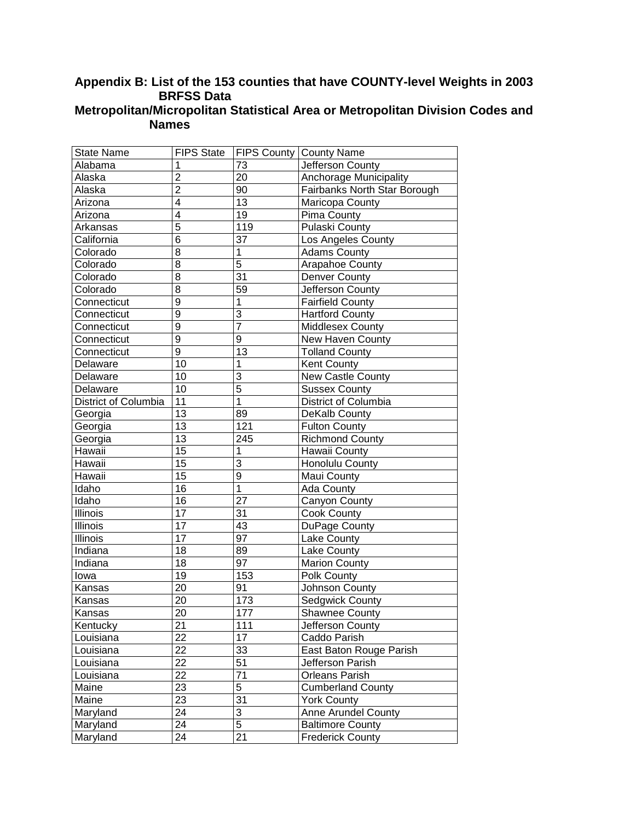### **Appendix B: List of the 153 counties that have COUNTY-level Weights in 2003 BRFSS Data Metropolitan/Micropolitan Statistical Area or Metropolitan Division Codes and Names**

| <b>State Name</b>    | <b>FIPS State</b> |                | FIPS County   County Name    |
|----------------------|-------------------|----------------|------------------------------|
| Alabama              | 1                 | 73             | Jefferson County             |
| Alaska               | $\overline{2}$    | 20             | Anchorage Municipality       |
| Alaska               | $\overline{2}$    | 90             | Fairbanks North Star Borough |
| Arizona              | 4                 | 13             | Maricopa County              |
| Arizona              | 4                 | 19             | Pima County                  |
| Arkansas             | 5                 | 119            | Pulaski County               |
| California           | 6                 | 37             | Los Angeles County           |
| Colorado             | 8                 | 1              | <b>Adams County</b>          |
| Colorado             | 8                 | 5              | <b>Arapahoe County</b>       |
| Colorado             | 8                 | 31             | Denver County                |
| Colorado             | 8                 | 59             | Jefferson County             |
| Connecticut          | 9                 | 1              | <b>Fairfield County</b>      |
| Connecticut          | 9                 | 3              | <b>Hartford County</b>       |
| Connecticut          | 9                 | $\overline{7}$ | <b>Middlesex County</b>      |
| Connecticut          | 9                 | 9              | New Haven County             |
| Connecticut          | 9                 | 13             | <b>Tolland County</b>        |
| Delaware             | 10                | 1              | <b>Kent County</b>           |
| Delaware             | 10                | 3              | New Castle County            |
| Delaware             | 10                | $\overline{5}$ | <b>Sussex County</b>         |
| District of Columbia | 11                | $\overline{1}$ | District of Columbia         |
| Georgia              | 13                | 89             | DeKalb County                |
| Georgia              | 13                | 121            | <b>Fulton County</b>         |
| Georgia              | 13                | 245            | <b>Richmond County</b>       |
| Hawaii               | 15                | 1              | Hawaii County                |
| Hawaii               | 15                | 3              | <b>Honolulu County</b>       |
| Hawaii               | 15                | 9              | Maui County                  |
| Idaho                | 16                | $\mathbf 1$    | Ada County                   |
| Idaho                | 16                | 27             | Canyon County                |
| Illinois             | 17                | 31             | Cook County                  |
| Illinois             | 17                | 43             | DuPage County                |
| Illinois             | 17                | 97             | Lake County                  |
| Indiana              | 18                | 89             | Lake County                  |
| Indiana              | 18                | 97             | <b>Marion County</b>         |
| lowa                 | 19                | 153            | Polk County                  |
| Kansas               | 20                | 91             | Johnson County               |
| Kansas               | 20                | 173            | Sedgwick County              |
| Kansas               | 20                | 177            | Shawnee County               |
| Kentucky             | 21                | 111            | Jefferson County             |
| Louisiana            | 22                | 17             | Caddo Parish                 |
| Louisiana            | 22                | 33             | East Baton Rouge Parish      |
| Louisiana            | 22                | 51             | Jefferson Parish             |
| Louisiana            | 22                | 71             | <b>Orleans Parish</b>        |
| Maine                | 23                | 5              | <b>Cumberland County</b>     |
| Maine                | 23                | 31             | <b>York County</b>           |
| Maryland             | 24                | 3              | Anne Arundel County          |
| Maryland             | 24                | 5              | <b>Baltimore County</b>      |
| Maryland             | 24                | 21             | <b>Frederick County</b>      |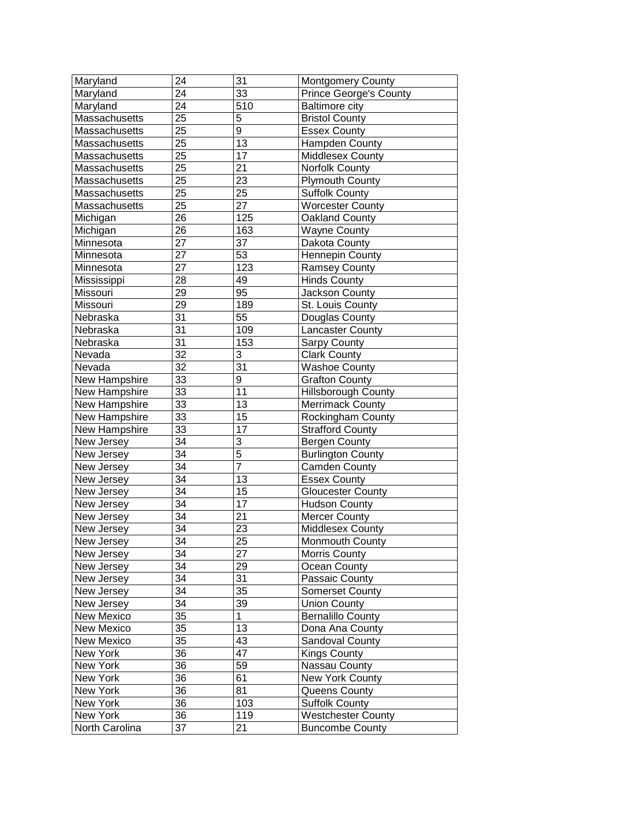| Maryland       | 24              | 31              | Montgomery County             |
|----------------|-----------------|-----------------|-------------------------------|
| Maryland       | 24              | 33              | <b>Prince George's County</b> |
| Maryland       | 24              | 510             | <b>Baltimore city</b>         |
| Massachusetts  | 25              | 5               | <b>Bristol County</b>         |
| Massachusetts  | 25              | 9               | <b>Essex County</b>           |
| Massachusetts  | 25              | 13              | Hampden County                |
| Massachusetts  | 25              | 17              | Middlesex County              |
| Massachusetts  | 25              | 21              | Norfolk County                |
| Massachusetts  | 25              | 23              | <b>Plymouth County</b>        |
| Massachusetts  | 25              | 25              | <b>Suffolk County</b>         |
| Massachusetts  | 25              | 27              | <b>Worcester County</b>       |
| Michigan       | 26              | 125             | Oakland County                |
| Michigan       | 26              | 163             | <b>Wayne County</b>           |
| Minnesota      | 27              | 37              | Dakota County                 |
| Minnesota      | $\overline{27}$ | 53              | <b>Hennepin County</b>        |
| Minnesota      | 27              | 123             | Ramsey County                 |
| Mississippi    | 28              | 49              | <b>Hinds County</b>           |
| Missouri       | 29              | 95              | Jackson County                |
| Missouri       | 29              | 189             | St. Louis County              |
| Nebraska       | $\overline{31}$ | $5\overline{5}$ | Douglas County                |
| Nebraska       | $\overline{31}$ | 109             | Lancaster County              |
| Nebraska       | $\overline{31}$ | 153             | <b>Sarpy County</b>           |
| Nevada         | $\overline{32}$ | 3               | <b>Clark County</b>           |
| Nevada         | $\overline{32}$ | 31              | <b>Washoe County</b>          |
| New Hampshire  | 33              | 9               | <b>Grafton County</b>         |
| New Hampshire  | 33              | 11              | <b>Hillsborough County</b>    |
| New Hampshire  | 33              | 13              | <b>Merrimack County</b>       |
| New Hampshire  | 33              | 15              | Rockingham County             |
| New Hampshire  | 33              | 17              | <b>Strafford County</b>       |
| New Jersey     | $\overline{34}$ | 3               | Bergen County                 |
| New Jersey     | $\overline{34}$ | $\overline{5}$  | <b>Burlington County</b>      |
| New Jersey     | $\overline{34}$ | $\overline{7}$  | Camden County                 |
| New Jersey     | $\overline{34}$ | 13              | <b>Essex County</b>           |
| New Jersey     | $\overline{34}$ | 15              | <b>Gloucester County</b>      |
| New Jersey     | $\overline{34}$ | 17              | <b>Hudson County</b>          |
| New Jersey     | $\overline{34}$ | 21              | <b>Mercer County</b>          |
| New Jersey     | 34              | 23              | Middlesex County              |
| New Jersey     | $\overline{34}$ | $\overline{25}$ | Monmouth County               |
| New Jersey     | 34              | 27              | Morris County                 |
| New Jersey     | 34              | 29              | Ocean County                  |
| New Jersey     | 34              | 31              | Passaic County                |
| New Jersey     | 34              | 35              | Somerset County               |
| New Jersey     | 34              | 39              | <b>Union County</b>           |
| New Mexico     | 35              | 1               | <b>Bernalillo County</b>      |
| New Mexico     | 35              | 13              | Dona Ana County               |
| New Mexico     | 35              | 43              | Sandoval County               |
| New York       | 36              | 47              | <b>Kings County</b>           |
| New York       | 36              | 59              | Nassau County                 |
| New York       | 36              | 61              | New York County               |
| New York       | 36              | 81              | Queens County                 |
| New York       | 36              | 103             | <b>Suffolk County</b>         |
| New York       | 36              | 119             | <b>Westchester County</b>     |
| North Carolina | 37              | 21              | <b>Buncombe County</b>        |
|                |                 |                 |                               |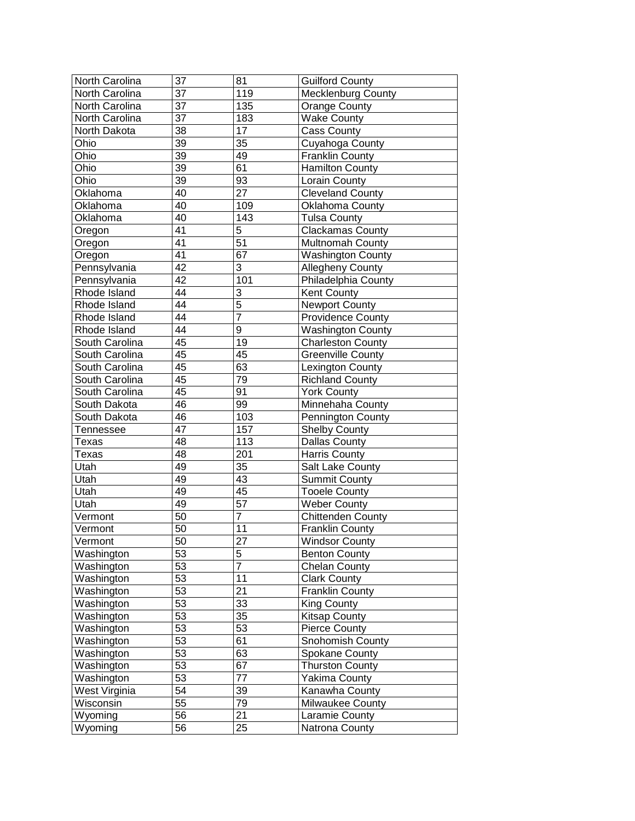| North Carolina | 37              | 81              | <b>Guilford County</b>   |
|----------------|-----------------|-----------------|--------------------------|
| North Carolina | $\overline{37}$ | 119             | Mecklenburg County       |
| North Carolina | $\overline{37}$ | 135             | <b>Orange County</b>     |
| North Carolina | $\overline{37}$ | 183             | <b>Wake County</b>       |
| North Dakota   | $\overline{38}$ | $\overline{17}$ | <b>Cass County</b>       |
| Ohio           | $\overline{39}$ | 35              | Cuyahoga County          |
| Ohio           | $\overline{39}$ | 49              | Franklin County          |
| Ohio           | $\overline{39}$ | 61              | Hamilton County          |
| Ohio           | $\overline{39}$ | 93              | Lorain County            |
| Oklahoma       | 40              | $\overline{27}$ | Cleveland County         |
| Oklahoma       | 40              | 109             | Oklahoma County          |
| Oklahoma       | 40              | 143             | <b>Tulsa County</b>      |
| Oregon         | $\overline{41}$ | $\overline{5}$  | <b>Clackamas County</b>  |
| Oregon         | 41              | $\overline{51}$ | Multnomah County         |
| Oregon         | 41              | 67              | Washington County        |
| Pennsylvania   | $\overline{42}$ | $\overline{3}$  | <b>Allegheny County</b>  |
| Pennsylvania   | $\overline{42}$ | 101             | Philadelphia County      |
| Rhode Island   | 44              | 3               | Kent County              |
| Rhode Island   | $\overline{44}$ | $\overline{5}$  | <b>Newport County</b>    |
| Rhode Island   | $\overline{44}$ | $\overline{7}$  | <b>Providence County</b> |
| Rhode Island   | 44              | $\overline{9}$  | <b>Washington County</b> |
| South Carolina | 45              | 19              | <b>Charleston County</b> |
| South Carolina | 45              | 45              | <b>Greenville County</b> |
| South Carolina | 45              | 63              | Lexington County         |
| South Carolina | 45              | $\overline{79}$ | <b>Richland County</b>   |
| South Carolina | 45              | 91              | <b>York County</b>       |
| South Dakota   | 46              | 99              | Minnehaha County         |
| South Dakota   | 46              | 103             | Pennington County        |
| Tennessee      | $\overline{47}$ | 157             | <b>Shelby County</b>     |
| Texas          | 48              | 113             | Dallas County            |
| Texas          | 48              | 201             | Harris County            |
| Utah           | 49              | $\overline{35}$ | Salt Lake County         |
| Utah           | 49              | 43              | <b>Summit County</b>     |
| Utah           | 49              | 45              | <b>Tooele County</b>     |
| Utah           | 49              | $\overline{57}$ | <b>Weber County</b>      |
| Vermont        | 50              | $\overline{7}$  | Chittenden County        |
| Vermont        | $\overline{50}$ | 11              | <b>Franklin County</b>   |
| Vermont        | 50              | $\overline{27}$ | <b>Windsor County</b>    |
| Washington     | 53              | $\overline{5}$  | <b>Benton County</b>     |
| Washington     | 53              | 7               | <b>Chelan County</b>     |
| Washington     | 53              | 11              | <b>Clark County</b>      |
| Washington     | 53              | 21              | <b>Franklin County</b>   |
| Washington     | 53              | 33              | King County              |
| Washington     | 53              | 35              | <b>Kitsap County</b>     |
| Washington     | 53              | $5\overline{3}$ | <b>Pierce County</b>     |
| Washington     | 53              | 61              | Snohomish County         |
| Washington     | 53              | 63              | Spokane County           |
| Washington     | 53              | 67              | <b>Thurston County</b>   |
| Washington     | 53              | 77              | Yakima County            |
| West Virginia  | 54              | 39              | Kanawha County           |
| Wisconsin      | $\overline{55}$ | 79              | Milwaukee County         |
| Wyoming        | 56              | 21              | Laramie County           |
| Wyoming        | 56              | 25              | Natrona County           |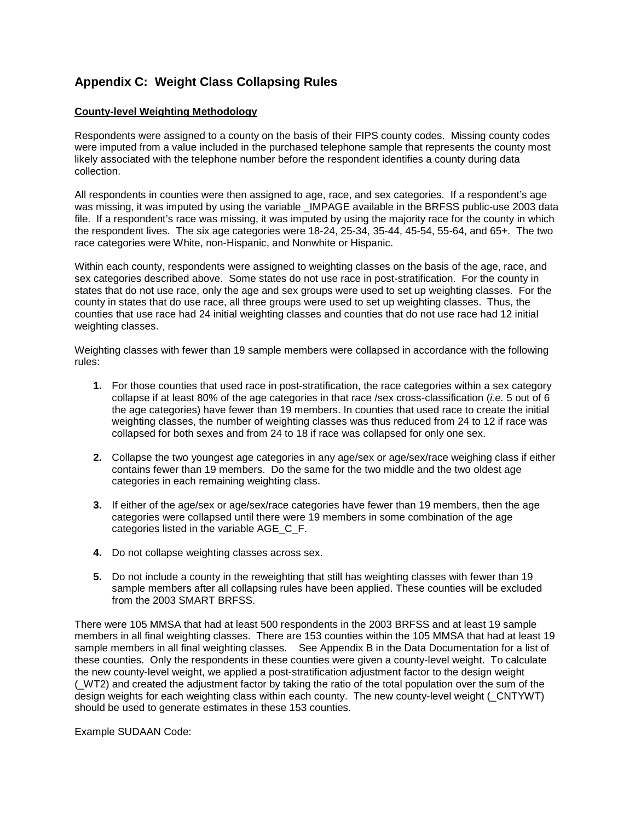## **Appendix C: Weight Class Collapsing Rules**

#### **County-level Weighting Methodology**

Respondents were assigned to a county on the basis of their FIPS county codes. Missing county codes were imputed from a value included in the purchased telephone sample that represents the county most likely associated with the telephone number before the respondent identifies a county during data collection.

All respondents in counties were then assigned to age, race, and sex categories. If a respondent's age was missing, it was imputed by using the variable **IMPAGE** available in the BRFSS public-use 2003 data file. If a respondent's race was missing, it was imputed by using the majority race for the county in which the respondent lives. The six age categories were 18-24, 25-34, 35-44, 45-54, 55-64, and 65+. The two race categories were White, non-Hispanic, and Nonwhite or Hispanic.

Within each county, respondents were assigned to weighting classes on the basis of the age, race, and sex categories described above. Some states do not use race in post-stratification. For the county in states that do not use race, only the age and sex groups were used to set up weighting classes. For the county in states that do use race, all three groups were used to set up weighting classes. Thus, the counties that use race had 24 initial weighting classes and counties that do not use race had 12 initial weighting classes.

Weighting classes with fewer than 19 sample members were collapsed in accordance with the following rules:

- **1.** For those counties that used race in post-stratification, the race categories within a sex category collapse if at least 80% of the age categories in that race /sex cross-classification (*i.e.* 5 out of 6 the age categories) have fewer than 19 members. In counties that used race to create the initial weighting classes, the number of weighting classes was thus reduced from 24 to 12 if race was collapsed for both sexes and from 24 to 18 if race was collapsed for only one sex.
- **2.** Collapse the two youngest age categories in any age/sex or age/sex/race weighing class if either contains fewer than 19 members. Do the same for the two middle and the two oldest age categories in each remaining weighting class.
- **3.** If either of the age/sex or age/sex/race categories have fewer than 19 members, then the age categories were collapsed until there were 19 members in some combination of the age categories listed in the variable AGE\_C\_F.
- **4.** Do not collapse weighting classes across sex.
- **5.** Do not include a county in the reweighting that still has weighting classes with fewer than 19 sample members after all collapsing rules have been applied. These counties will be excluded from the 2003 SMART BRFSS.

There were 105 MMSA that had at least 500 respondents in the 2003 BRFSS and at least 19 sample members in all final weighting classes. There are 153 counties within the 105 MMSA that had at least 19 sample members in all final weighting classes. See Appendix B in the Data Documentation for a list of these counties. Only the respondents in these counties were given a county-level weight. To calculate the new county-level weight, we applied a post-stratification adjustment factor to the design weight (\_WT2) and created the adjustment factor by taking the ratio of the total population over the sum of the design weights for each weighting class within each county. The new county-level weight (\_CNTYWT) should be used to generate estimates in these 153 counties.

Example SUDAAN Code: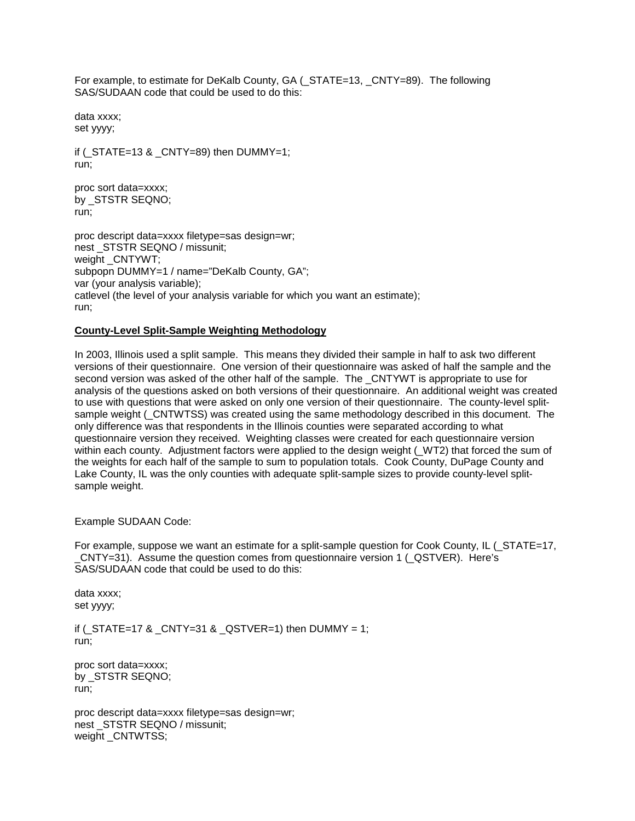For example, to estimate for DeKalb County, GA (\_STATE=13, \_CNTY=89). The following SAS/SUDAAN code that could be used to do this:

data xxxx; set yyyy;

if ( $STATE=13$  &  $CNTY=89$ ) then DUMMY=1; run;

proc sort data=xxxx; by \_STSTR SEQNO; run;

proc descript data=xxxx filetype=sas design=wr; nest STSTR SEQNO / missunit; weight CNTYWT; subpopn DUMMY=1 / name="DeKalb County, GA"; var (your analysis variable); catlevel (the level of your analysis variable for which you want an estimate); run;

#### **County-Level Split-Sample Weighting Methodology**

In 2003, Illinois used a split sample. This means they divided their sample in half to ask two different versions of their questionnaire. One version of their questionnaire was asked of half the sample and the second version was asked of the other half of the sample. The \_CNTYWT is appropriate to use for analysis of the questions asked on both versions of their questionnaire. An additional weight was created to use with questions that were asked on only one version of their questionnaire. The county-level splitsample weight (\_CNTWTSS) was created using the same methodology described in this document. The only difference was that respondents in the Illinois counties were separated according to what questionnaire version they received. Weighting classes were created for each questionnaire version within each county. Adjustment factors were applied to the design weight (\_WT2) that forced the sum of the weights for each half of the sample to sum to population totals. Cook County, DuPage County and Lake County, IL was the only counties with adequate split-sample sizes to provide county-level splitsample weight.

Example SUDAAN Code:

For example, suppose we want an estimate for a split-sample question for Cook County, IL (\_STATE=17, \_CNTY=31). Assume the question comes from questionnaire version 1 (\_QSTVER). Here's SAS/SUDAAN code that could be used to do this:

data xxxx; set yyyy;

if  $($ \_STATE=17 & \_CNTY=31 & \_QSTVER=1) then DUMMY = 1; run;

proc sort data=xxxx; by \_STSTR SEQNO; run;

proc descript data=xxxx filetype=sas design=wr; nest \_STSTR SEQNO / missunit; weight \_CNTWTSS;